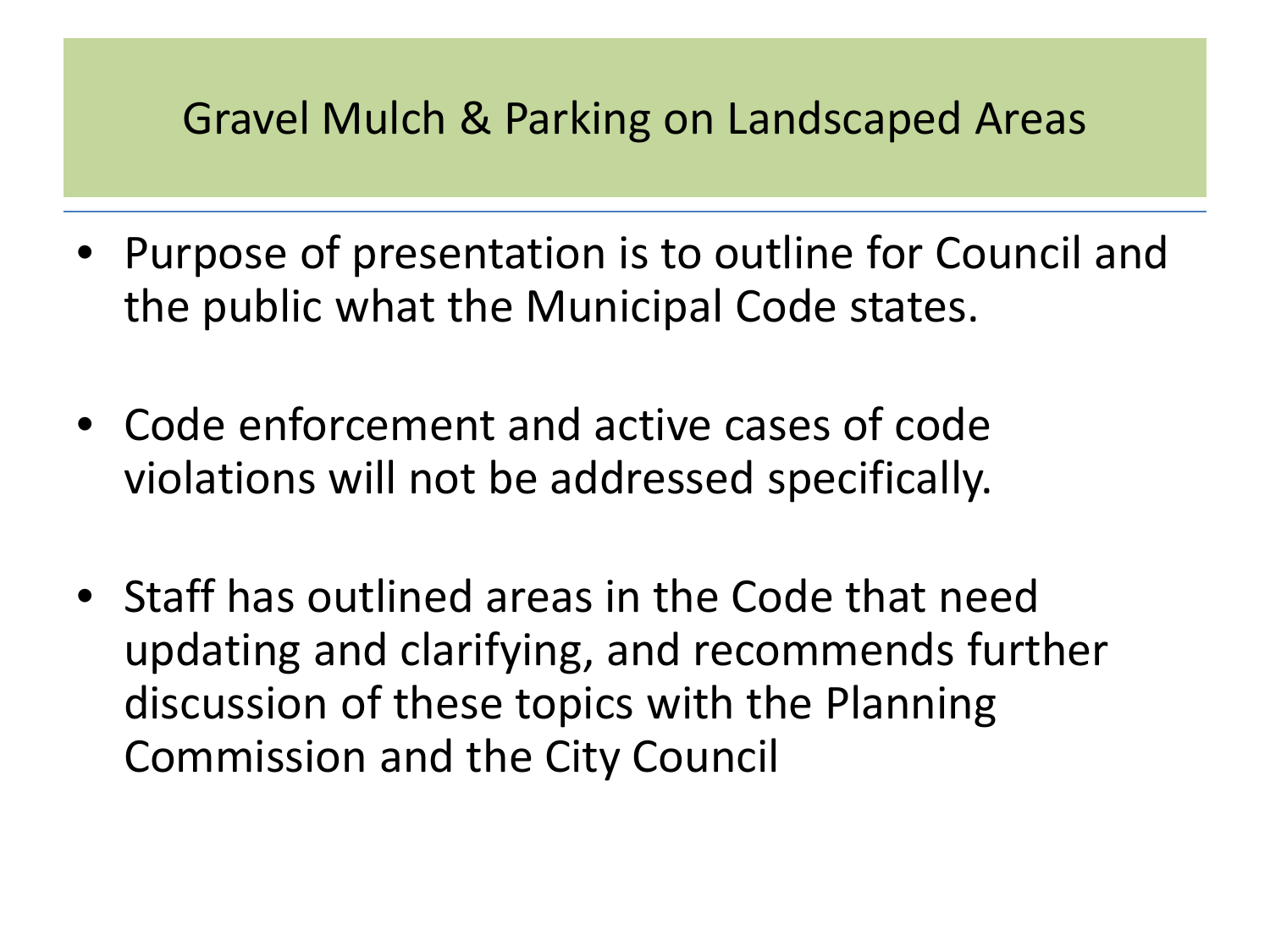#### Gravel Mulch & Parking on Landscaped Areas

- Purpose of presentation is to outline for Council and the public what the Municipal Code states.
- Code enforcement and active cases of code violations will not be addressed specifically.
- Staff has outlined areas in the Code that need updating and clarifying, and recommends further discussion of these topics with the Planning Commission and the City Council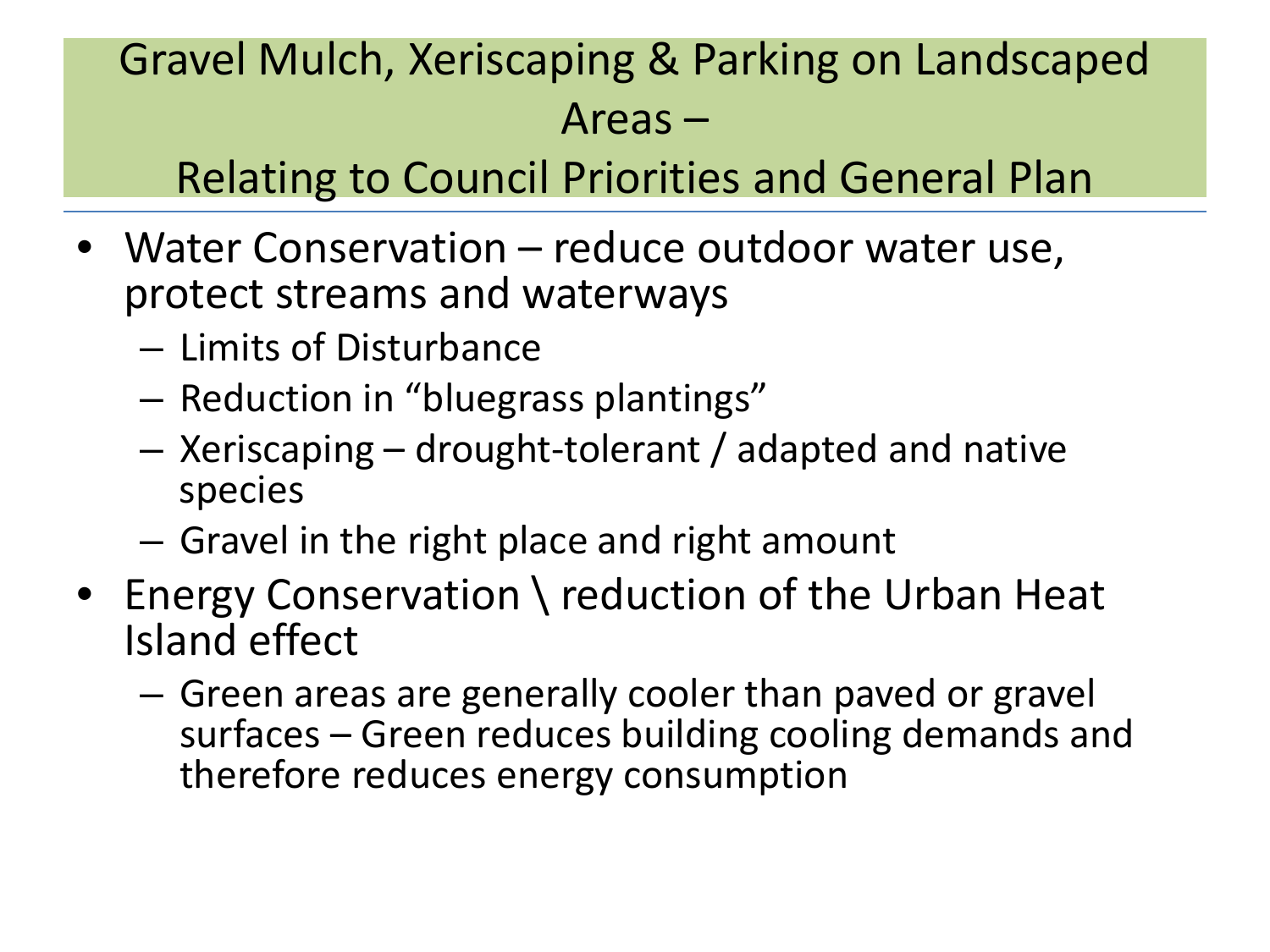## Gravel Mulch, Xeriscaping & Parking on Landscaped Areas –

#### Relating to Council Priorities and General Plan

- Water Conservation reduce outdoor water use, protect streams and waterways
	- Limits of Disturbance
	- Reduction in "bluegrass plantings"
	- Xeriscaping drought-tolerant / adapted and native species
	- Gravel in the right place and right amount
- Energy Conservation \ reduction of the Urban Heat Island effect
	- Green areas are generally cooler than paved or gravel surfaces – Green reduces building cooling demands and therefore reduces energy consumption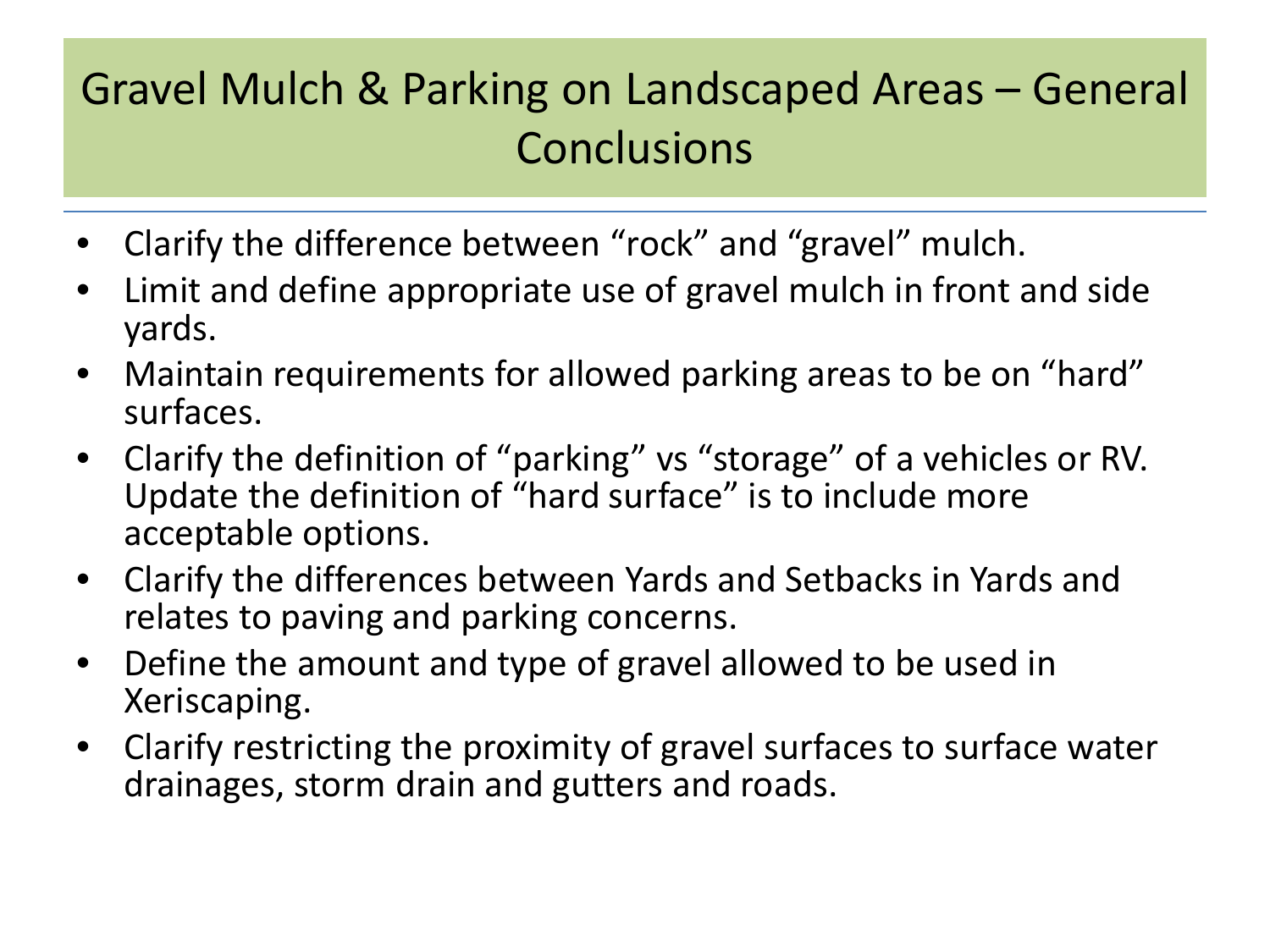## Gravel Mulch & Parking on Landscaped Areas – General **Conclusions**

- Clarify the difference between "rock" and "gravel" mulch.
- Limit and define appropriate use of gravel mulch in front and side yards.
- Maintain requirements for allowed parking areas to be on "hard" surfaces.
- Clarify the definition of "parking" vs "storage" of a vehicles or RV. Update the definition of "hard surface" is to include more acceptable options.
- Clarify the differences between Yards and Setbacks in Yards and relates to paving and parking concerns.
- Define the amount and type of gravel allowed to be used in Xeriscaping.
- Clarify restricting the proximity of gravel surfaces to surface water drainages, storm drain and gutters and roads.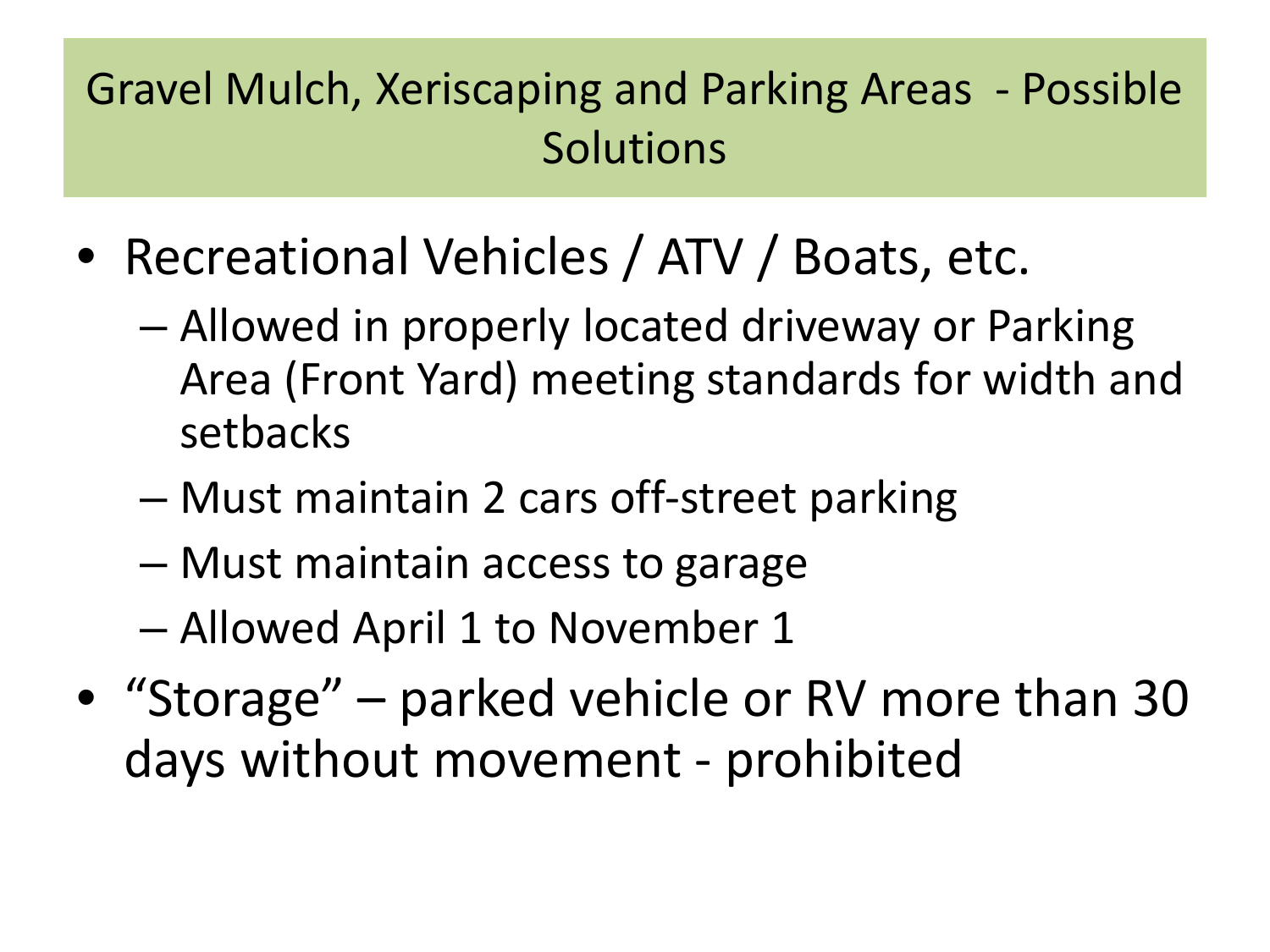## Gravel Mulch, Xeriscaping and Parking Areas - Possible **Solutions**

- Recreational Vehicles / ATV / Boats, etc.
	- Allowed in properly located driveway or Parking Area (Front Yard) meeting standards for width and setbacks
	- Must maintain 2 cars off-street parking
	- Must maintain access to garage
	- Allowed April 1 to November 1
- "Storage" parked vehicle or RV more than 30 days without movement - prohibited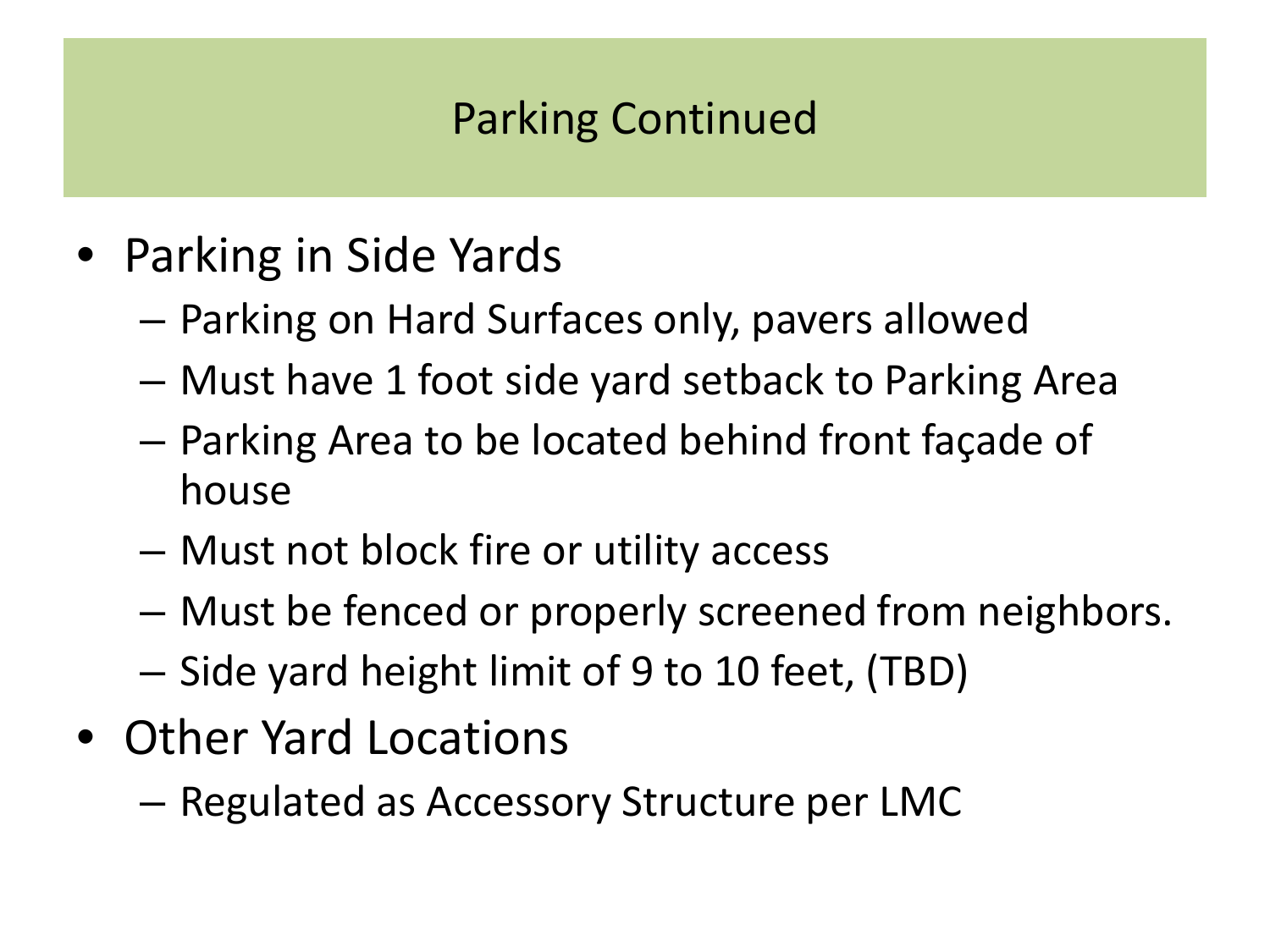#### Parking Continued

- Parking in Side Yards
	- Parking on Hard Surfaces only, pavers allowed
	- Must have 1 foot side yard setback to Parking Area
	- Parking Area to be located behind front façade of house
	- Must not block fire or utility access
	- Must be fenced or properly screened from neighbors.
	- Side yard height limit of 9 to 10 feet, (TBD)
- Other Yard Locations
	- Regulated as Accessory Structure per LMC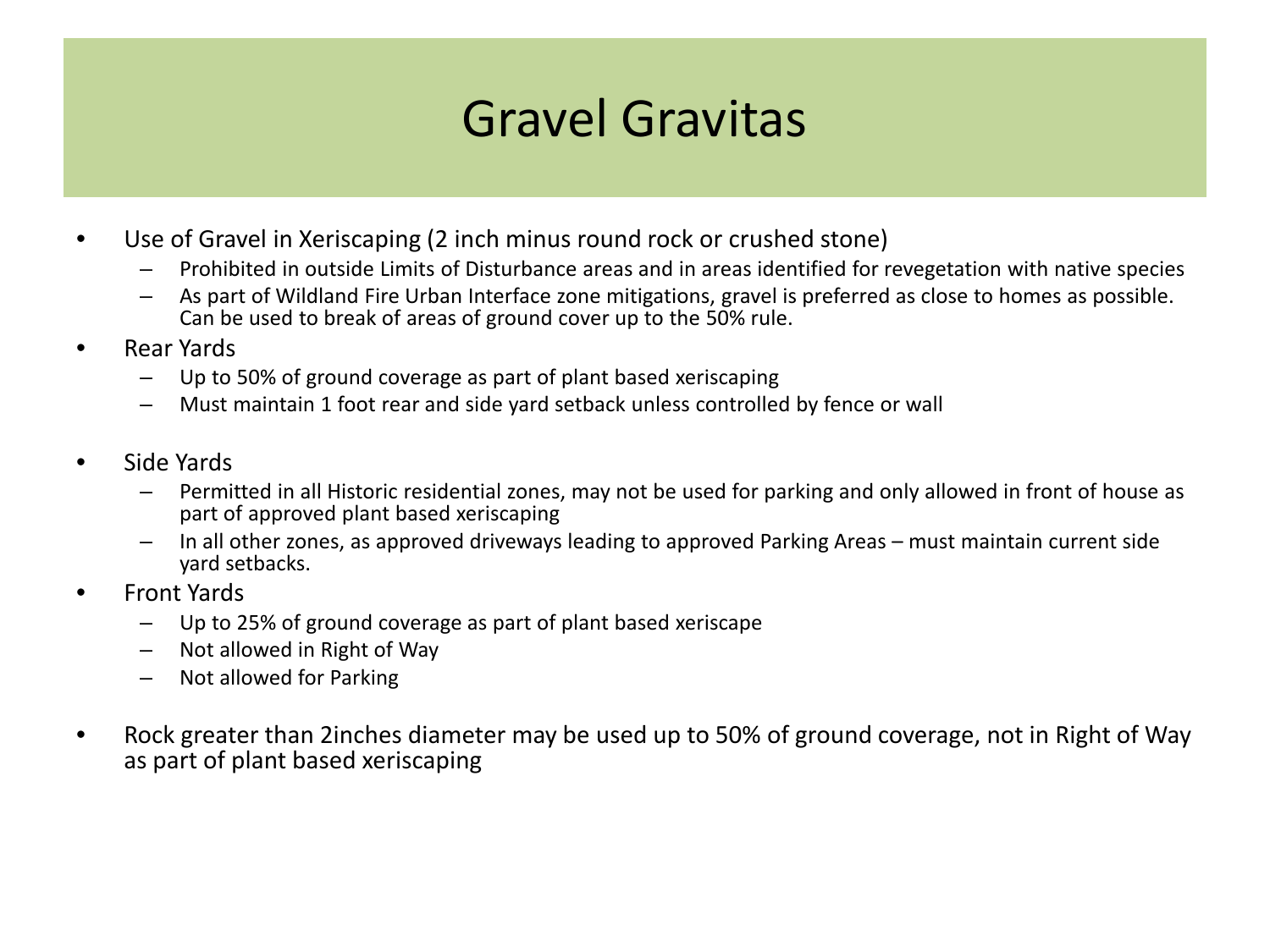# Gravel Gravitas

- Use of Gravel in Xeriscaping (2 inch minus round rock or crushed stone)
	- Prohibited in outside Limits of Disturbance areas and in areas identified for revegetation with native species
	- As part of Wildland Fire Urban Interface zone mitigations, gravel is preferred as close to homes as possible. Can be used to break of areas of ground cover up to the 50% rule.
- Rear Yards
	- Up to 50% of ground coverage as part of plant based xeriscaping
	- Must maintain 1 foot rear and side yard setback unless controlled by fence or wall
- Side Yards
	- Permitted in all Historic residential zones, may not be used for parking and only allowed in front of house as part of approved plant based xeriscaping
	- In all other zones, as approved driveways leading to approved Parking Areas must maintain current side yard setbacks.
- Front Yards
	- Up to 25% of ground coverage as part of plant based xeriscape
	- Not allowed in Right of Way
	- Not allowed for Parking
- Rock greater than 2inches diameter may be used up to 50% of ground coverage, not in Right of Way as part of plant based xeriscaping